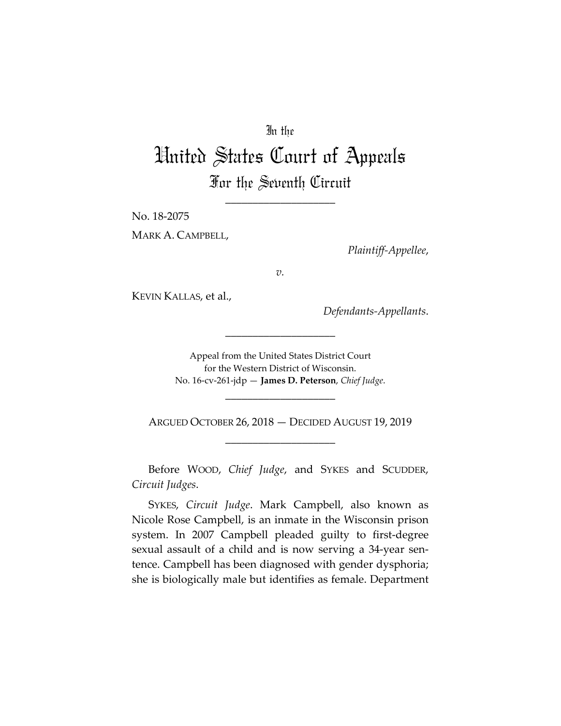# In the

# United States Court of Appeals For the Seventh Circuit

\_\_\_\_\_\_\_\_\_\_\_\_\_\_\_\_\_\_\_\_

No. 18-2075

MARK A. CAMPBELL,

*Plaintiff-Appellee*,

*v.*

KEVIN KALLAS, et al.,

*Defendants-Appellants*.

Appeal from the United States District Court for the Western District of Wisconsin. No. 16-cv-261-jdp — **James D. Peterson**, *Chief Judge*.

\_\_\_\_\_\_\_\_\_\_\_\_\_\_\_\_\_\_\_\_

ARGUED OCTOBER 26, 2018 — DECIDED AUGUST 19, 2019 \_\_\_\_\_\_\_\_\_\_\_\_\_\_\_\_\_\_\_\_

\_\_\_\_\_\_\_\_\_\_\_\_\_\_\_\_\_\_\_\_

Before WOOD, *Chief Judge*, and SYKES and SCUDDER, *Circuit Judges*.

SYKES, *Circuit Judge*. Mark Campbell, also known as Nicole Rose Campbell, is an inmate in the Wisconsin prison system. In 2007 Campbell pleaded guilty to first-degree sexual assault of a child and is now serving a 34-year sentence. Campbell has been diagnosed with gender dysphoria; she is biologically male but identifies as female. Department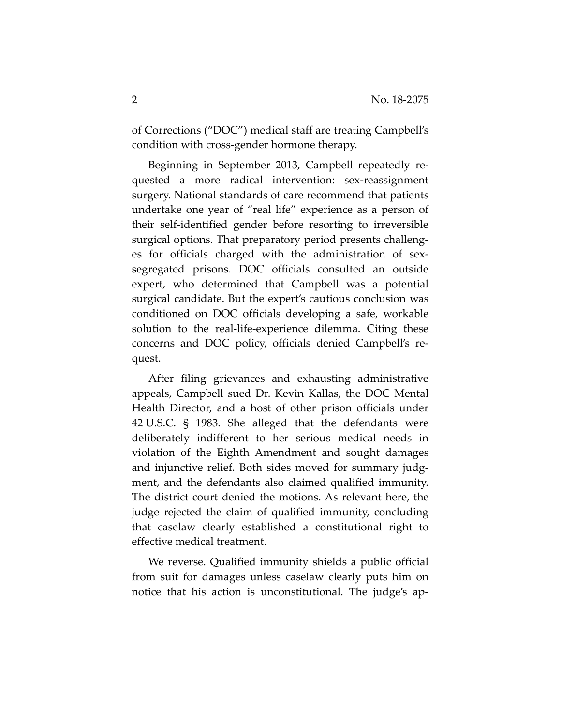of Corrections ("DOC") medical staff are treating Campbell's condition with cross-gender hormone therapy.

Beginning in September 2013, Campbell repeatedly requested a more radical intervention: sex-reassignment surgery. National standards of care recommend that patients undertake one year of "real life" experience as a person of their self-identified gender before resorting to irreversible surgical options. That preparatory period presents challenges for officials charged with the administration of sexsegregated prisons. DOC officials consulted an outside expert, who determined that Campbell was a potential surgical candidate. But the expert's cautious conclusion was conditioned on DOC officials developing a safe, workable solution to the real-life-experience dilemma. Citing these concerns and DOC policy, officials denied Campbell's request.

After filing grievances and exhausting administrative appeals, Campbell sued Dr. Kevin Kallas, the DOC Mental Health Director, and a host of other prison officials under 42 U.S.C. § 1983. She alleged that the defendants were deliberately indifferent to her serious medical needs in violation of the Eighth Amendment and sought damages and injunctive relief. Both sides moved for summary judgment, and the defendants also claimed qualified immunity. The district court denied the motions. As relevant here, the judge rejected the claim of qualified immunity, concluding that caselaw clearly established a constitutional right to effective medical treatment.

We reverse. Qualified immunity shields a public official from suit for damages unless caselaw clearly puts him on notice that his action is unconstitutional. The judge's ap-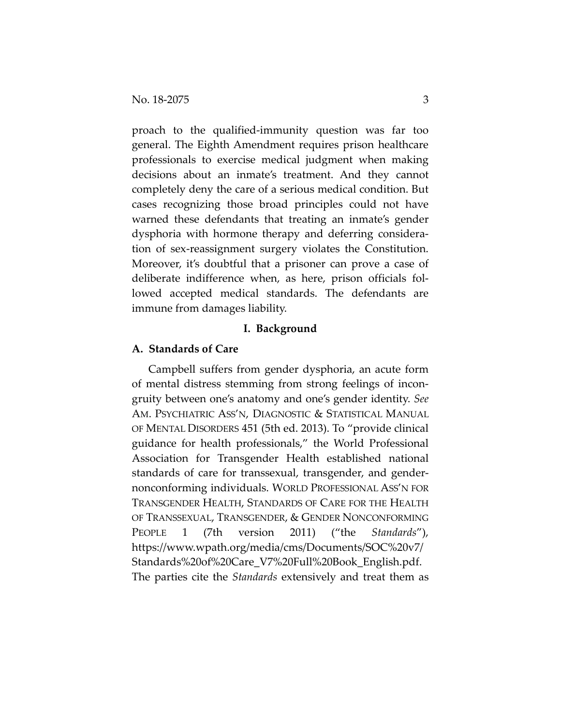proach to the qualified-immunity question was far too general. The Eighth Amendment requires prison healthcare professionals to exercise medical judgment when making decisions about an inmate's treatment. And they cannot completely deny the care of a serious medical condition. But cases recognizing those broad principles could not have warned these defendants that treating an inmate's gender dysphoria with hormone therapy and deferring consideration of sex-reassignment surgery violates the Constitution. Moreover, it's doubtful that a prisoner can prove a case of deliberate indifference when, as here, prison officials followed accepted medical standards. The defendants are immune from damages liability.

# **I. Background**

# **A. Standards of Care**

Campbell suffers from gender dysphoria, an acute form of mental distress stemming from strong feelings of incongruity between one's anatomy and one's gender identity. *See*  AM. PSYCHIATRIC ASS'N, DIAGNOSTIC & STATISTICAL MANUAL OF MENTAL DISORDERS 451 (5th ed. 2013). To "provide clinical guidance for health professionals," the World Professional Association for Transgender Health established national standards of care for transsexual, transgender, and gendernonconforming individuals. WORLD PROFESSIONAL ASS'N FOR TRANSGENDER HEALTH, STANDARDS OF CARE FOR THE HEALTH OF TRANSSEXUAL, TRANSGENDER, & GENDER NONCONFORMING PEOPLE 1 (7th version 2011) ("the *Standards*"), https://www.wpath.org/media/cms/Documents/SOC%20v7/ Standards%20of%20Care\_V7%20Full%20Book\_English.pdf. The parties cite the *Standards* extensively and treat them as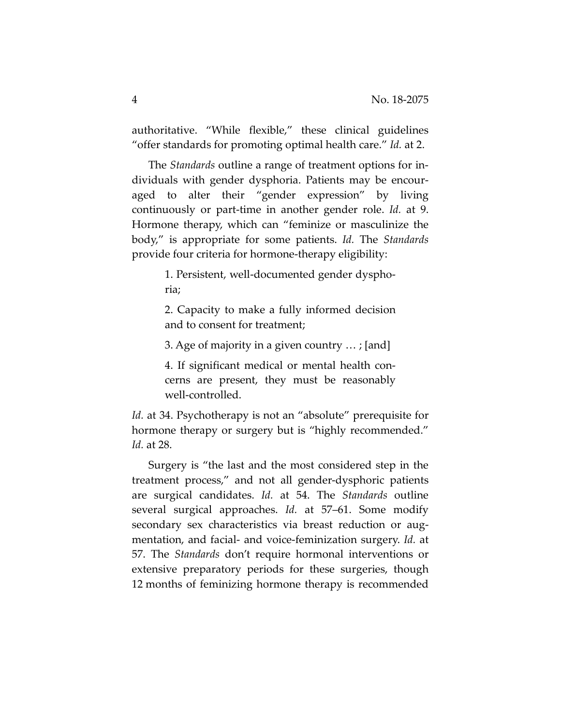authoritative. "While flexible," these clinical guidelines "offer standards for promoting optimal health care." *Id.* at 2.

The *Standards* outline a range of treatment options for individuals with gender dysphoria. Patients may be encouraged to alter their "gender expression" by living continuously or part-time in another gender role. *Id.* at 9. Hormone therapy, which can "feminize or masculinize the body," is appropriate for some patients. *Id.* The *Standards* provide four criteria for hormone-therapy eligibility:

> 1. Persistent, well-documented gender dysphoria;

> 2. Capacity to make a fully informed decision and to consent for treatment;

3. Age of majority in a given country … ; [and]

4. If significant medical or mental health concerns are present, they must be reasonably well-controlled.

*Id.* at 34. Psychotherapy is not an "absolute" prerequisite for hormone therapy or surgery but is "highly recommended." *Id.* at 28.

Surgery is "the last and the most considered step in the treatment process," and not all gender-dysphoric patients are surgical candidates. *Id.* at 54. The *Standards* outline several surgical approaches. *Id.* at 57–61. Some modify secondary sex characteristics via breast reduction or augmentation, and facial- and voice-feminization surgery. *Id.* at 57. The *Standards* don't require hormonal interventions or extensive preparatory periods for these surgeries, though 12 months of feminizing hormone therapy is recommended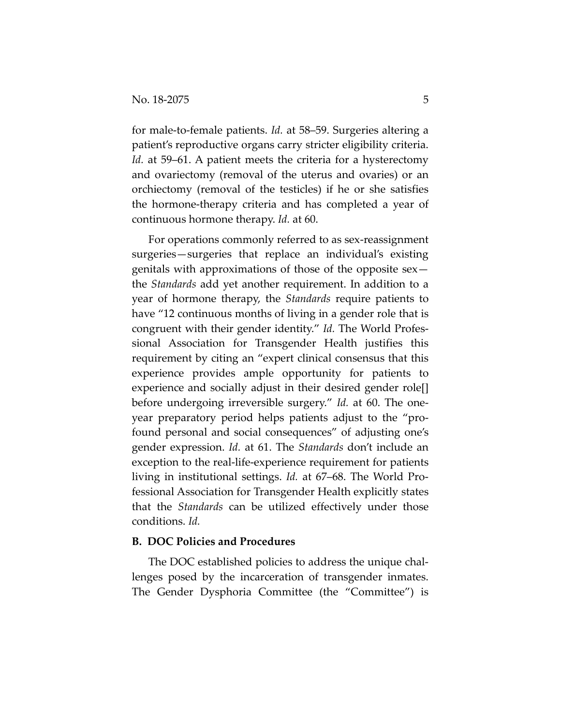for male-to-female patients. *Id.* at 58–59. Surgeries altering a patient's reproductive organs carry stricter eligibility criteria. *Id.* at 59–61. A patient meets the criteria for a hysterectomy and ovariectomy (removal of the uterus and ovaries) or an orchiectomy (removal of the testicles) if he or she satisfies the hormone-therapy criteria and has completed a year of continuous hormone therapy. *Id.* at 60.

For operations commonly referred to as sex-reassignment surgeries—surgeries that replace an individual's existing genitals with approximations of those of the opposite sex the *Standards* add yet another requirement. In addition to a year of hormone therapy, the *Standards* require patients to have "12 continuous months of living in a gender role that is congruent with their gender identity." *Id.* The World Professional Association for Transgender Health justifies this requirement by citing an "expert clinical consensus that this experience provides ample opportunity for patients to experience and socially adjust in their desired gender role[] before undergoing irreversible surgery." *Id.* at 60. The oneyear preparatory period helps patients adjust to the "profound personal and social consequences" of adjusting one's gender expression. *Id.* at 61. The *Standards* don't include an exception to the real-life-experience requirement for patients living in institutional settings. *Id.* at 67–68. The World Professional Association for Transgender Health explicitly states that the *Standards* can be utilized effectively under those conditions. *Id.*

#### **B. DOC Policies and Procedures**

The DOC established policies to address the unique challenges posed by the incarceration of transgender inmates. The Gender Dysphoria Committee (the "Committee") is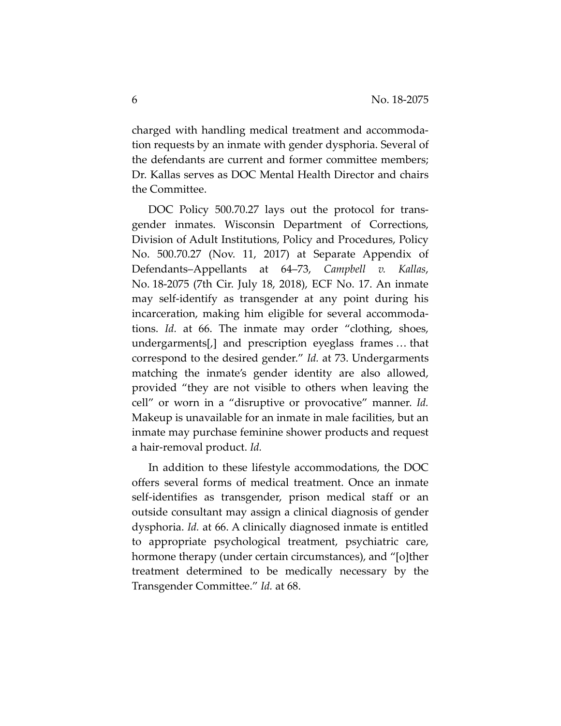charged with handling medical treatment and accommodation requests by an inmate with gender dysphoria. Several of the defendants are current and former committee members; Dr. Kallas serves as DOC Mental Health Director and chairs the Committee.

DOC Policy 500.70.27 lays out the protocol for transgender inmates. Wisconsin Department of Corrections, Division of Adult Institutions, Policy and Procedures, Policy No. 500.70.27 (Nov. 11, 2017) at Separate Appendix of Defendants–Appellants at 64–73, *Campbell v. Kallas*, No. 18-2075 (7th Cir. July 18, 2018), ECF No. 17. An inmate may self-identify as transgender at any point during his incarceration, making him eligible for several accommodations. *Id.* at 66. The inmate may order "clothing, shoes, undergarments[,] and prescription eyeglass frames … that correspond to the desired gender." *Id.* at 73. Undergarments matching the inmate's gender identity are also allowed, provided "they are not visible to others when leaving the cell" or worn in a "disruptive or provocative" manner. *Id.* Makeup is unavailable for an inmate in male facilities, but an inmate may purchase feminine shower products and request a hair-removal product. *Id.*

In addition to these lifestyle accommodations, the DOC offers several forms of medical treatment. Once an inmate self-identifies as transgender, prison medical staff or an outside consultant may assign a clinical diagnosis of gender dysphoria. *Id.* at 66. A clinically diagnosed inmate is entitled to appropriate psychological treatment, psychiatric care, hormone therapy (under certain circumstances), and "[o]ther treatment determined to be medically necessary by the Transgender Committee." *Id.* at 68.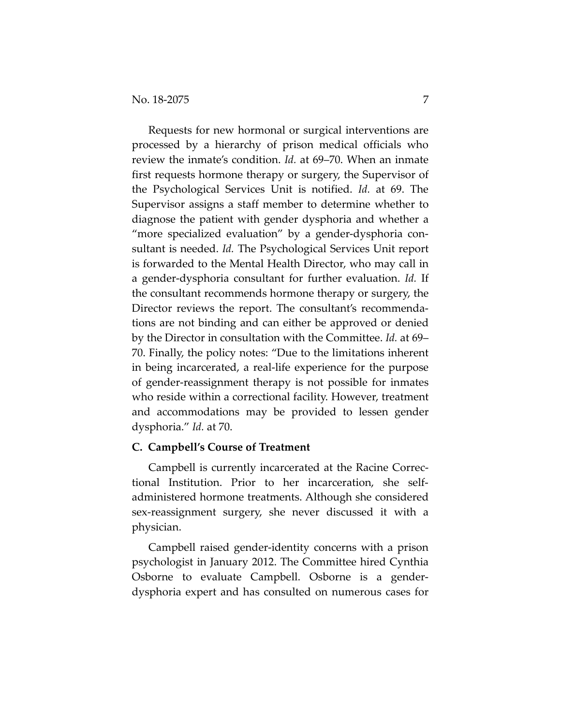Requests for new hormonal or surgical interventions are processed by a hierarchy of prison medical officials who review the inmate's condition. *Id.* at 69–70. When an inmate first requests hormone therapy or surgery, the Supervisor of the Psychological Services Unit is notified. *Id.* at 69. The Supervisor assigns a staff member to determine whether to diagnose the patient with gender dysphoria and whether a "more specialized evaluation" by a gender-dysphoria consultant is needed. *Id.* The Psychological Services Unit report is forwarded to the Mental Health Director, who may call in a gender-dysphoria consultant for further evaluation. *Id.* If the consultant recommends hormone therapy or surgery, the Director reviews the report. The consultant's recommendations are not binding and can either be approved or denied by the Director in consultation with the Committee. *Id.* at 69– 70. Finally, the policy notes: "Due to the limitations inherent in being incarcerated, a real-life experience for the purpose of gender-reassignment therapy is not possible for inmates who reside within a correctional facility. However, treatment and accommodations may be provided to lessen gender dysphoria." *Id.* at 70.

# **C. Campbell's Course of Treatment**

Campbell is currently incarcerated at the Racine Correctional Institution. Prior to her incarceration, she selfadministered hormone treatments. Although she considered sex-reassignment surgery, she never discussed it with a physician.

Campbell raised gender-identity concerns with a prison psychologist in January 2012. The Committee hired Cynthia Osborne to evaluate Campbell. Osborne is a genderdysphoria expert and has consulted on numerous cases for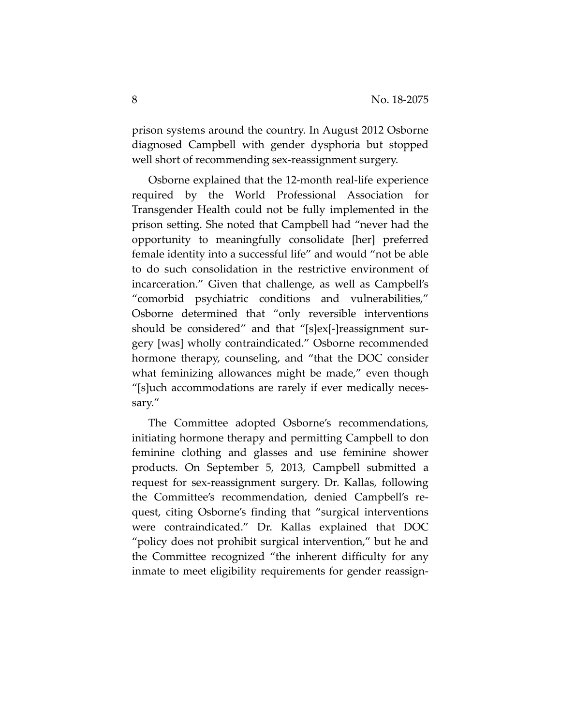prison systems around the country. In August 2012 Osborne diagnosed Campbell with gender dysphoria but stopped well short of recommending sex-reassignment surgery.

Osborne explained that the 12-month real-life experience required by the World Professional Association for Transgender Health could not be fully implemented in the prison setting. She noted that Campbell had "never had the opportunity to meaningfully consolidate [her] preferred female identity into a successful life" and would "not be able to do such consolidation in the restrictive environment of incarceration." Given that challenge, as well as Campbell's "comorbid psychiatric conditions and vulnerabilities," Osborne determined that "only reversible interventions should be considered" and that "[s]ex[-]reassignment surgery [was] wholly contraindicated." Osborne recommended hormone therapy, counseling, and "that the DOC consider what feminizing allowances might be made," even though "[s]uch accommodations are rarely if ever medically necessary."

The Committee adopted Osborne's recommendations, initiating hormone therapy and permitting Campbell to don feminine clothing and glasses and use feminine shower products. On September 5, 2013, Campbell submitted a request for sex-reassignment surgery. Dr. Kallas, following the Committee's recommendation, denied Campbell's request, citing Osborne's finding that "surgical interventions were contraindicated." Dr. Kallas explained that DOC "policy does not prohibit surgical intervention," but he and the Committee recognized "the inherent difficulty for any inmate to meet eligibility requirements for gender reassign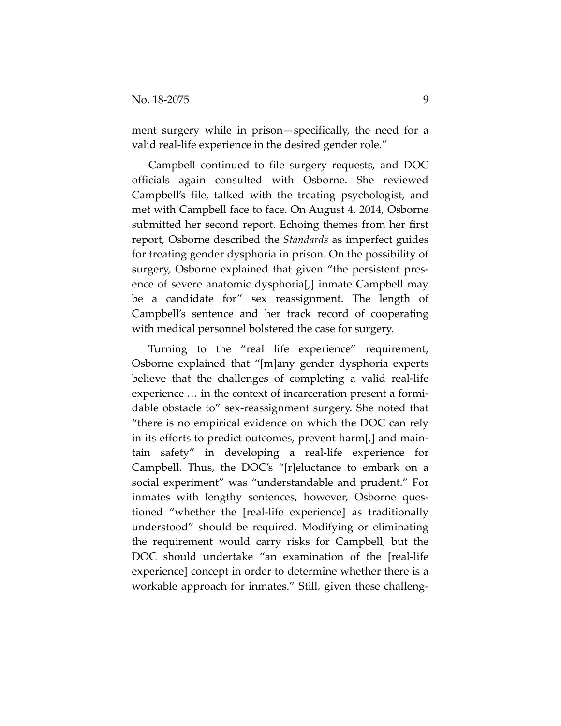ment surgery while in prison—specifically, the need for a valid real-life experience in the desired gender role."

Campbell continued to file surgery requests, and DOC officials again consulted with Osborne. She reviewed Campbell's file, talked with the treating psychologist, and met with Campbell face to face. On August 4, 2014, Osborne submitted her second report. Echoing themes from her first report, Osborne described the *Standards* as imperfect guides for treating gender dysphoria in prison. On the possibility of surgery, Osborne explained that given "the persistent presence of severe anatomic dysphoria[,] inmate Campbell may be a candidate for" sex reassignment. The length of Campbell's sentence and her track record of cooperating with medical personnel bolstered the case for surgery.

Turning to the "real life experience" requirement, Osborne explained that "[m]any gender dysphoria experts believe that the challenges of completing a valid real-life experience … in the context of incarceration present a formidable obstacle to" sex-reassignment surgery. She noted that "there is no empirical evidence on which the DOC can rely in its efforts to predict outcomes, prevent harm[,] and maintain safety" in developing a real-life experience for Campbell. Thus, the DOC's "[r]eluctance to embark on a social experiment" was "understandable and prudent." For inmates with lengthy sentences, however, Osborne questioned "whether the [real-life experience] as traditionally understood" should be required. Modifying or eliminating the requirement would carry risks for Campbell, but the DOC should undertake "an examination of the [real-life experience] concept in order to determine whether there is a workable approach for inmates." Still, given these challeng-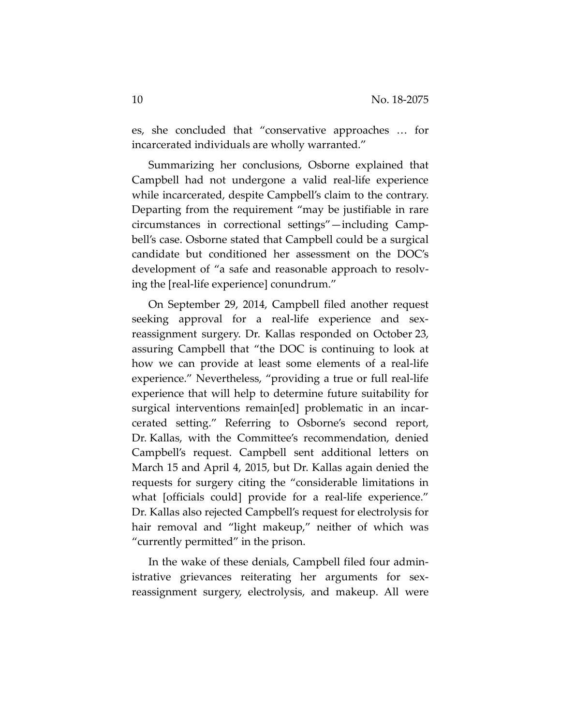es, she concluded that "conservative approaches … for incarcerated individuals are wholly warranted."

Summarizing her conclusions, Osborne explained that Campbell had not undergone a valid real-life experience while incarcerated, despite Campbell's claim to the contrary. Departing from the requirement "may be justifiable in rare circumstances in correctional settings"—including Campbell's case. Osborne stated that Campbell could be a surgical candidate but conditioned her assessment on the DOC's development of "a safe and reasonable approach to resolving the [real-life experience] conundrum."

On September 29, 2014, Campbell filed another request seeking approval for a real-life experience and sexreassignment surgery. Dr. Kallas responded on October 23, assuring Campbell that "the DOC is continuing to look at how we can provide at least some elements of a real-life experience." Nevertheless, "providing a true or full real-life experience that will help to determine future suitability for surgical interventions remain[ed] problematic in an incarcerated setting." Referring to Osborne's second report, Dr. Kallas, with the Committee's recommendation, denied Campbell's request. Campbell sent additional letters on March 15 and April 4, 2015, but Dr. Kallas again denied the requests for surgery citing the "considerable limitations in what [officials could] provide for a real-life experience." Dr. Kallas also rejected Campbell's request for electrolysis for hair removal and "light makeup," neither of which was "currently permitted" in the prison.

In the wake of these denials, Campbell filed four administrative grievances reiterating her arguments for sexreassignment surgery, electrolysis, and makeup. All were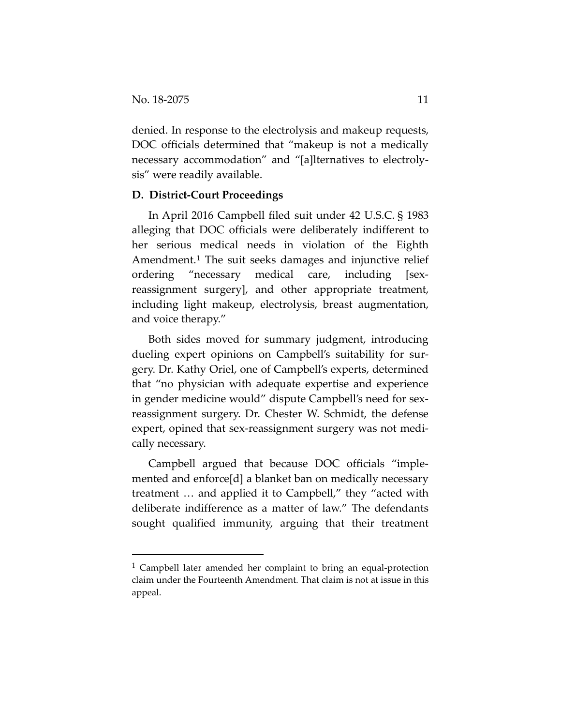denied. In response to the electrolysis and makeup requests, DOC officials determined that "makeup is not a medically necessary accommodation" and "[a]lternatives to electrolysis" were readily available.

# **D. District-Court Proceedings**

In April 2016 Campbell filed suit under 42 U.S.C. § 1983 alleging that DOC officials were deliberately indifferent to her serious medical needs in violation of the Eighth Amendment.[1](#page-10-0) The suit seeks damages and injunctive relief ordering "necessary medical care, including [sexreassignment surgery], and other appropriate treatment, including light makeup, electrolysis, breast augmentation, and voice therapy."

Both sides moved for summary judgment, introducing dueling expert opinions on Campbell's suitability for surgery. Dr. Kathy Oriel, one of Campbell's experts, determined that "no physician with adequate expertise and experience in gender medicine would" dispute Campbell's need for sexreassignment surgery. Dr. Chester W. Schmidt, the defense expert, opined that sex-reassignment surgery was not medically necessary.

Campbell argued that because DOC officials "implemented and enforce[d] a blanket ban on medically necessary treatment … and applied it to Campbell," they "acted with deliberate indifference as a matter of law." The defendants sought qualified immunity, arguing that their treatment

<span id="page-10-0"></span><sup>&</sup>lt;sup>1</sup> Campbell later amended her complaint to bring an equal-protection claim under the Fourteenth Amendment. That claim is not at issue in this appeal.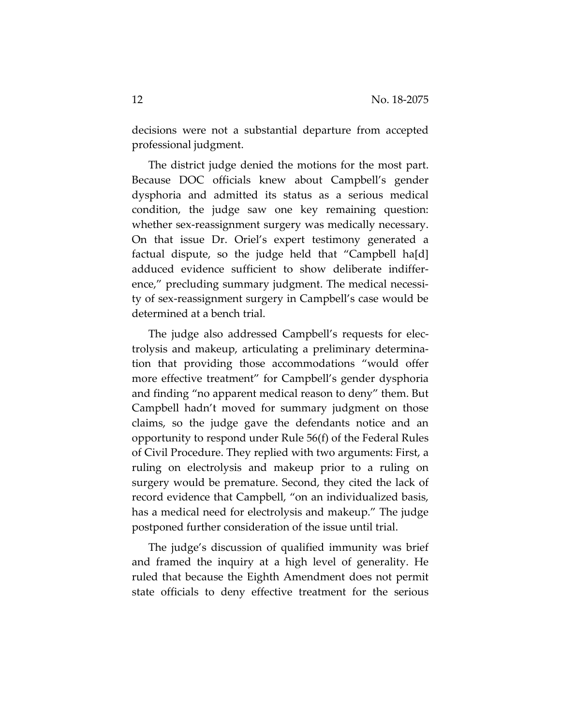decisions were not a substantial departure from accepted professional judgment.

The district judge denied the motions for the most part. Because DOC officials knew about Campbell's gender dysphoria and admitted its status as a serious medical condition, the judge saw one key remaining question: whether sex-reassignment surgery was medically necessary. On that issue Dr. Oriel's expert testimony generated a factual dispute, so the judge held that "Campbell ha[d] adduced evidence sufficient to show deliberate indifference," precluding summary judgment. The medical necessity of sex-reassignment surgery in Campbell's case would be determined at a bench trial.

The judge also addressed Campbell's requests for electrolysis and makeup, articulating a preliminary determination that providing those accommodations "would offer more effective treatment" for Campbell's gender dysphoria and finding "no apparent medical reason to deny" them. But Campbell hadn't moved for summary judgment on those claims, so the judge gave the defendants notice and an opportunity to respond under Rule 56(f) of the Federal Rules of Civil Procedure. They replied with two arguments: First, a ruling on electrolysis and makeup prior to a ruling on surgery would be premature. Second, they cited the lack of record evidence that Campbell, "on an individualized basis, has a medical need for electrolysis and makeup." The judge postponed further consideration of the issue until trial.

The judge's discussion of qualified immunity was brief and framed the inquiry at a high level of generality. He ruled that because the Eighth Amendment does not permit state officials to deny effective treatment for the serious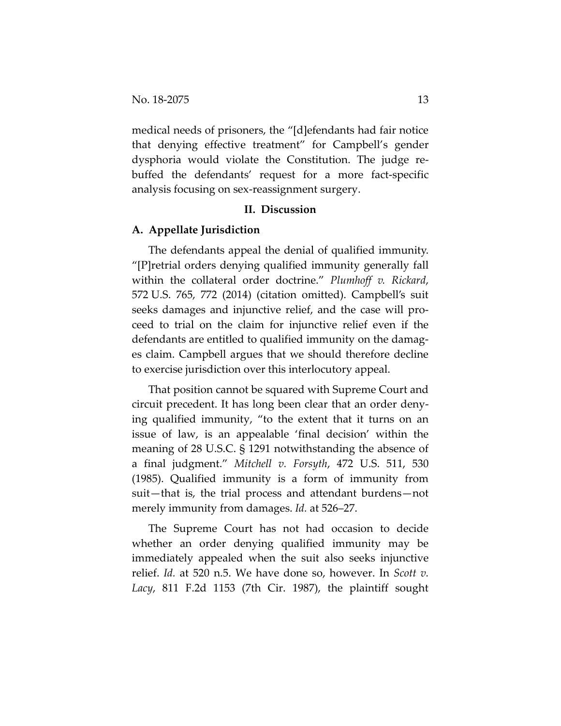medical needs of prisoners, the "[d]efendants had fair notice that denying effective treatment" for Campbell's gender dysphoria would violate the Constitution. The judge rebuffed the defendants' request for a more fact-specific analysis focusing on sex-reassignment surgery.

# **II. Discussion**

# **A. Appellate Jurisdiction**

The defendants appeal the denial of qualified immunity. "[P]retrial orders denying qualified immunity generally fall within the collateral order doctrine." *Plumhoff v. Rickard*, 572 U.S. 765, 772 (2014) (citation omitted). Campbell's suit seeks damages and injunctive relief, and the case will proceed to trial on the claim for injunctive relief even if the defendants are entitled to qualified immunity on the damages claim. Campbell argues that we should therefore decline to exercise jurisdiction over this interlocutory appeal.

That position cannot be squared with Supreme Court and circuit precedent. It has long been clear that an order denying qualified immunity, "to the extent that it turns on an issue of law, is an appealable 'final decision' within the meaning of 28 U.S.C. § 1291 notwithstanding the absence of a final judgment." *Mitchell v. Forsyth*, 472 U.S. 511, 530 (1985). Qualified immunity is a form of immunity from suit—that is, the trial process and attendant burdens—not merely immunity from damages. *Id.* at 526–27.

The Supreme Court has not had occasion to decide whether an order denying qualified immunity may be immediately appealed when the suit also seeks injunctive relief. *Id.* at 520 n.5. We have done so, however. In *Scott v. Lacy*, 811 F.2d 1153 (7th Cir. 1987), the plaintiff sought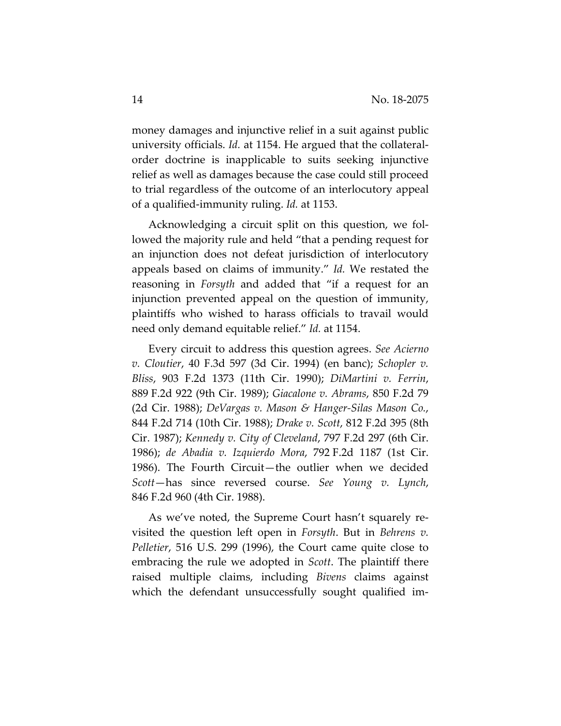money damages and injunctive relief in a suit against public university officials. *Id.* at 1154. He argued that the collateralorder doctrine is inapplicable to suits seeking injunctive relief as well as damages because the case could still proceed to trial regardless of the outcome of an interlocutory appeal of a qualified-immunity ruling. *Id.* at 1153.

Acknowledging a circuit split on this question, we followed the majority rule and held "that a pending request for an injunction does not defeat jurisdiction of interlocutory appeals based on claims of immunity." *Id.* We restated the reasoning in *Forsyth* and added that "if a request for an injunction prevented appeal on the question of immunity, plaintiffs who wished to harass officials to travail would need only demand equitable relief." *Id.* at 1154.

Every circuit to address this question agrees. *See Acierno v. Cloutier*, 40 F.3d 597 (3d Cir. 1994) (en banc); *Schopler v. Bliss*, 903 F.2d 1373 (11th Cir. 1990); *DiMartini v. Ferrin*, 889 F.2d 922 (9th Cir. 1989); *Giacalone v. Abrams*, 850 F.2d 79 (2d Cir. 1988); *DeVargas v. Mason & Hanger-Silas Mason Co.*, 844 F.2d 714 (10th Cir. 1988); *Drake v. Scott*, 812 F.2d 395 (8th Cir. 1987); *Kennedy v. City of Cleveland*, 797 F.2d 297 (6th Cir. 1986); *de Abadia v. Izquierdo Mora*, 792 F.2d 1187 (1st Cir. 1986). The Fourth Circuit—the outlier when we decided *Scott*—has since reversed course. *See Young v. Lynch*, 846 F.2d 960 (4th Cir. 1988).

As we've noted, the Supreme Court hasn't squarely revisited the question left open in *Forsyth*. But in *Behrens v. Pelletier*, 516 U.S. 299 (1996), the Court came quite close to embracing the rule we adopted in *Scott*. The plaintiff there raised multiple claims, including *Bivens* claims against which the defendant unsuccessfully sought qualified im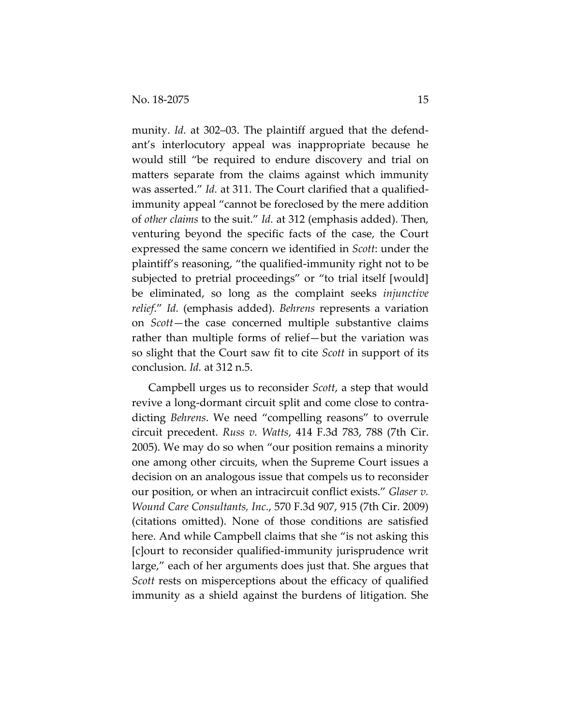munity. *Id.* at 302–03. The plaintiff argued that the defendant's interlocutory appeal was inappropriate because he would still "be required to endure discovery and trial on matters separate from the claims against which immunity was asserted." *Id.* at 311. The Court clarified that a qualifiedimmunity appeal "cannot be foreclosed by the mere addition of *other claims* to the suit." *Id.* at 312 (emphasis added). Then, venturing beyond the specific facts of the case, the Court expressed the same concern we identified in *Scott*: under the plaintiff's reasoning, "the qualified-immunity right not to be subjected to pretrial proceedings" or "to trial itself [would] be eliminated, so long as the complaint seeks *injunctive relief*." *Id.* (emphasis added). *Behrens* represents a variation on *Scott*—the case concerned multiple substantive claims rather than multiple forms of relief—but the variation was so slight that the Court saw fit to cite *Scott* in support of its conclusion. *Id.* at 312 n.5.

Campbell urges us to reconsider *Scott*, a step that would revive a long-dormant circuit split and come close to contradicting *Behrens*. We need "compelling reasons" to overrule circuit precedent. *Russ v. Watts*, 414 F.3d 783, 788 (7th Cir. 2005). We may do so when "our position remains a minority one among other circuits, when the Supreme Court issues a decision on an analogous issue that compels us to reconsider our position, or when an intracircuit conflict exists." *Glaser v. Wound Care Consultants, Inc.*, 570 F.3d 907, 915 (7th Cir. 2009) (citations omitted). None of those conditions are satisfied here. And while Campbell claims that she "is not asking this [c]ourt to reconsider qualified-immunity jurisprudence writ large," each of her arguments does just that. She argues that *Scott* rests on misperceptions about the efficacy of qualified immunity as a shield against the burdens of litigation. She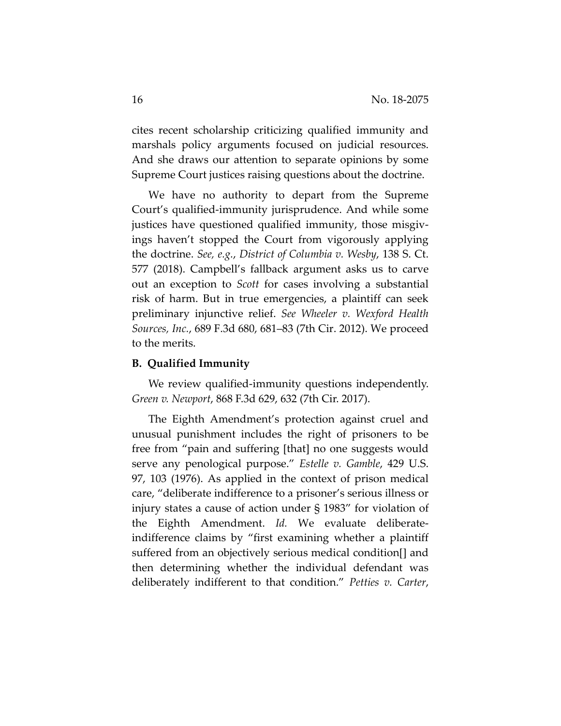cites recent scholarship criticizing qualified immunity and marshals policy arguments focused on judicial resources. And she draws our attention to separate opinions by some Supreme Court justices raising questions about the doctrine.

We have no authority to depart from the Supreme Court's qualified-immunity jurisprudence. And while some justices have questioned qualified immunity, those misgivings haven't stopped the Court from vigorously applying the doctrine. *See, e.g.*, *District of Columbia v. Wesby*, 138 S. Ct. 577 (2018). Campbell's fallback argument asks us to carve out an exception to *Scott* for cases involving a substantial risk of harm. But in true emergencies, a plaintiff can seek preliminary injunctive relief. *See Wheeler v. Wexford Health Sources, Inc.*, 689 F.3d 680, 681–83 (7th Cir. 2012). We proceed to the merits.

#### **B. Qualified Immunity**

We review qualified-immunity questions independently. *Green v. Newport*, 868 F.3d 629, 632 (7th Cir. 2017).

The Eighth Amendment's protection against cruel and unusual punishment includes the right of prisoners to be free from "pain and suffering [that] no one suggests would serve any penological purpose." *Estelle v. Gamble*, 429 U.S. 97, 103 (1976). As applied in the context of prison medical care, "deliberate indifference to a prisoner's serious illness or injury states a cause of action under § 1983" for violation of the Eighth Amendment. *Id.* We evaluate deliberateindifference claims by "first examining whether a plaintiff suffered from an objectively serious medical condition[] and then determining whether the individual defendant was deliberately indifferent to that condition." *Petties v. Carter*,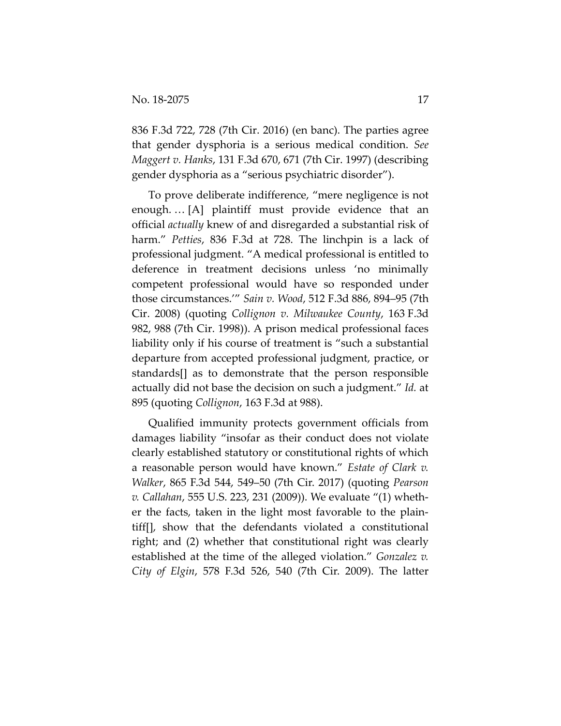836 F.3d 722, 728 (7th Cir. 2016) (en banc). The parties agree that gender dysphoria is a serious medical condition. *See Maggert v. Hanks*, 131 F.3d 670, 671 (7th Cir. 1997) (describing gender dysphoria as a "serious psychiatric disorder").

To prove deliberate indifference, "mere negligence is not enough. … [A] plaintiff must provide evidence that an official *actually* knew of and disregarded a substantial risk of harm." *Petties*, 836 F.3d at 728. The linchpin is a lack of professional judgment. "A medical professional is entitled to deference in treatment decisions unless 'no minimally competent professional would have so responded under those circumstances.'" *Sain v. Wood*, 512 F.3d 886, 894–95 (7th Cir. 2008) (quoting *Collignon v. Milwaukee County*, 163 F.3d 982, 988 (7th Cir. 1998)). A prison medical professional faces liability only if his course of treatment is "such a substantial departure from accepted professional judgment, practice, or standards[] as to demonstrate that the person responsible actually did not base the decision on such a judgment." *Id.* at 895 (quoting *Collignon*, 163 F.3d at 988).

Qualified immunity protects government officials from damages liability "insofar as their conduct does not violate clearly established statutory or constitutional rights of which a reasonable person would have known." *Estate of Clark v. Walker*, 865 F.3d 544, 549–50 (7th Cir. 2017) (quoting *Pearson v. Callahan*, 555 U.S. 223, 231 (2009)). We evaluate "(1) whether the facts, taken in the light most favorable to the plaintiff[], show that the defendants violated a constitutional right; and (2) whether that constitutional right was clearly established at the time of the alleged violation." *Gonzalez v. City of Elgin*, 578 F.3d 526, 540 (7th Cir. 2009). The latter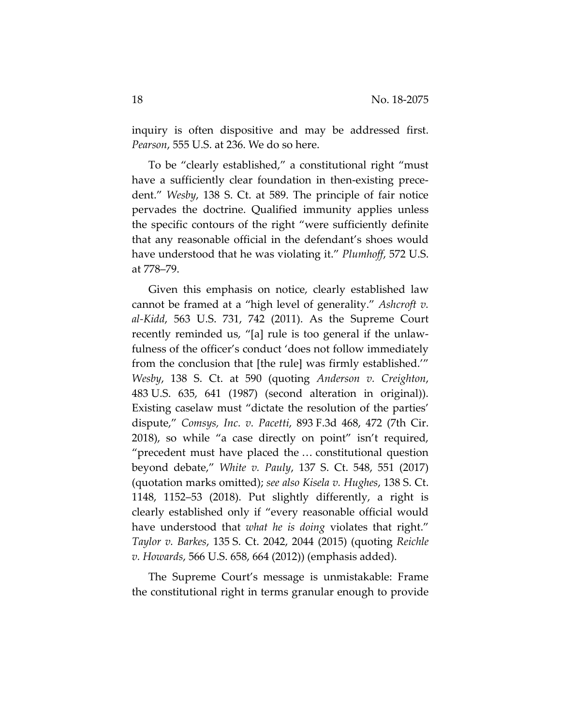inquiry is often dispositive and may be addressed first. *Pearson*, 555 U.S. at 236. We do so here.

To be "clearly established," a constitutional right "must have a sufficiently clear foundation in then-existing precedent." *Wesby*, 138 S. Ct. at 589. The principle of fair notice pervades the doctrine. Qualified immunity applies unless the specific contours of the right "were sufficiently definite that any reasonable official in the defendant's shoes would have understood that he was violating it." *Plumhoff*, 572 U.S. at 778–79.

Given this emphasis on notice, clearly established law cannot be framed at a "high level of generality." *Ashcroft v. al-Kidd*, 563 U.S. 731, 742 (2011). As the Supreme Court recently reminded us, "[a] rule is too general if the unlawfulness of the officer's conduct 'does not follow immediately from the conclusion that [the rule] was firmly established.'" *Wesby*, 138 S. Ct. at 590 (quoting *Anderson v. Creighton*, 483 U.S. 635, 641 (1987) (second alteration in original)). Existing caselaw must "dictate the resolution of the parties' dispute," *Comsys, Inc. v. Pacetti*, 893 F.3d 468, 472 (7th Cir. 2018), so while "a case directly on point" isn't required, "precedent must have placed the … constitutional question beyond debate," *White v. Pauly*, 137 S. Ct. 548, 551 (2017) (quotation marks omitted); *see also Kisela v. Hughes*, 138 S. Ct. 1148, 1152–53 (2018). Put slightly differently, a right is clearly established only if "every reasonable official would have understood that *what he is doing* violates that right." *Taylor v. Barkes*, 135 S. Ct. 2042, 2044 (2015) (quoting *Reichle v. Howards*, 566 U.S. 658, 664 (2012)) (emphasis added).

The Supreme Court's message is unmistakable: Frame the constitutional right in terms granular enough to provide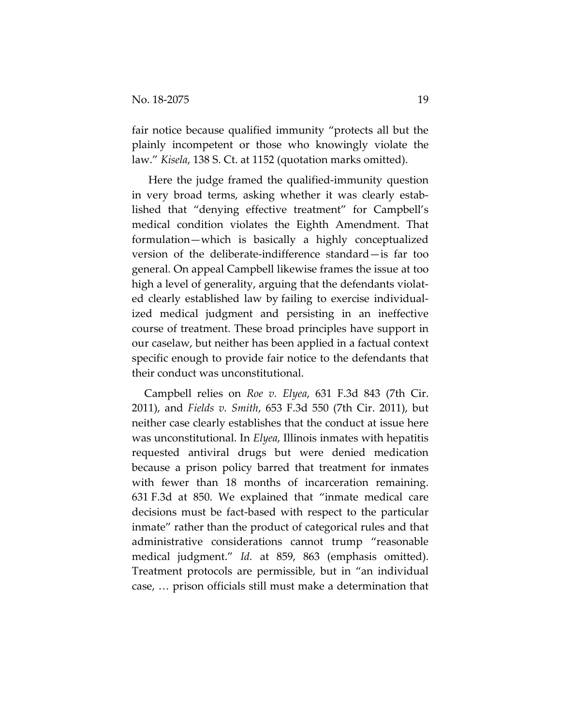fair notice because qualified immunity "protects all but the plainly incompetent or those who knowingly violate the law." *Kisela*, 138 S. Ct. at 1152 (quotation marks omitted).

Here the judge framed the qualified-immunity question in very broad terms, asking whether it was clearly established that "denying effective treatment" for Campbell's medical condition violates the Eighth Amendment. That formulation—which is basically a highly conceptualized version of the deliberate-indifference standard—is far too general. On appeal Campbell likewise frames the issue at too high a level of generality, arguing that the defendants violated clearly established law by failing to exercise individualized medical judgment and persisting in an ineffective course of treatment. These broad principles have support in our caselaw, but neither has been applied in a factual context specific enough to provide fair notice to the defendants that their conduct was unconstitutional.

Campbell relies on *Roe v. Elyea*, 631 F.3d 843 (7th Cir. 2011), and *Fields v. Smith*, 653 F.3d 550 (7th Cir. 2011), but neither case clearly establishes that the conduct at issue here was unconstitutional. In *Elyea*, Illinois inmates with hepatitis requested antiviral drugs but were denied medication because a prison policy barred that treatment for inmates with fewer than 18 months of incarceration remaining. 631 F.3d at 850. We explained that "inmate medical care decisions must be fact-based with respect to the particular inmate" rather than the product of categorical rules and that administrative considerations cannot trump "reasonable medical judgment." *Id.* at 859, 863 (emphasis omitted). Treatment protocols are permissible, but in "an individual case, … prison officials still must make a determination that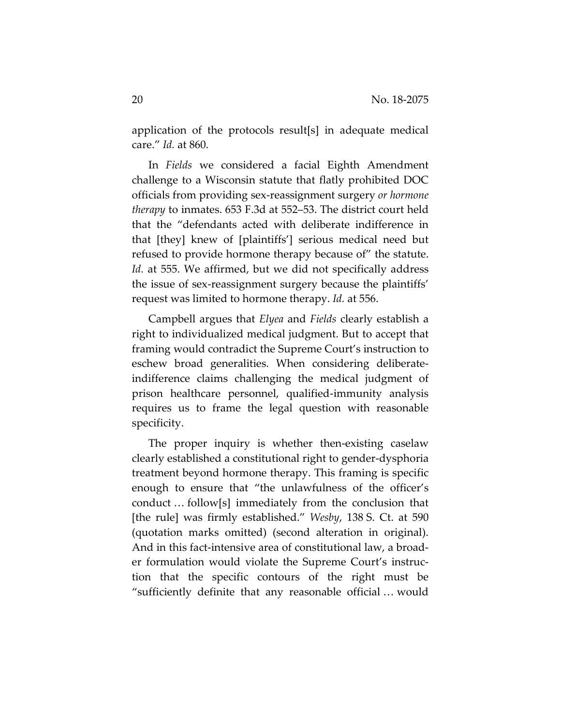application of the protocols result[s] in adequate medical care." *Id.* at 860.

In *Fields* we considered a facial Eighth Amendment challenge to a Wisconsin statute that flatly prohibited DOC officials from providing sex-reassignment surgery *or hormone therapy* to inmates. 653 F.3d at 552–53. The district court held that the "defendants acted with deliberate indifference in that [they] knew of [plaintiffs'] serious medical need but refused to provide hormone therapy because of" the statute. *Id.* at 555. We affirmed, but we did not specifically address the issue of sex-reassignment surgery because the plaintiffs' request was limited to hormone therapy. *Id.* at 556.

Campbell argues that *Elyea* and *Fields* clearly establish a right to individualized medical judgment. But to accept that framing would contradict the Supreme Court's instruction to eschew broad generalities. When considering deliberateindifference claims challenging the medical judgment of prison healthcare personnel, qualified-immunity analysis requires us to frame the legal question with reasonable specificity.

The proper inquiry is whether then-existing caselaw clearly established a constitutional right to gender-dysphoria treatment beyond hormone therapy. This framing is specific enough to ensure that "the unlawfulness of the officer's conduct … follow[s] immediately from the conclusion that [the rule] was firmly established." *Wesby*, 138 S. Ct. at 590 (quotation marks omitted) (second alteration in original). And in this fact-intensive area of constitutional law, a broader formulation would violate the Supreme Court's instruction that the specific contours of the right must be "sufficiently definite that any reasonable official … would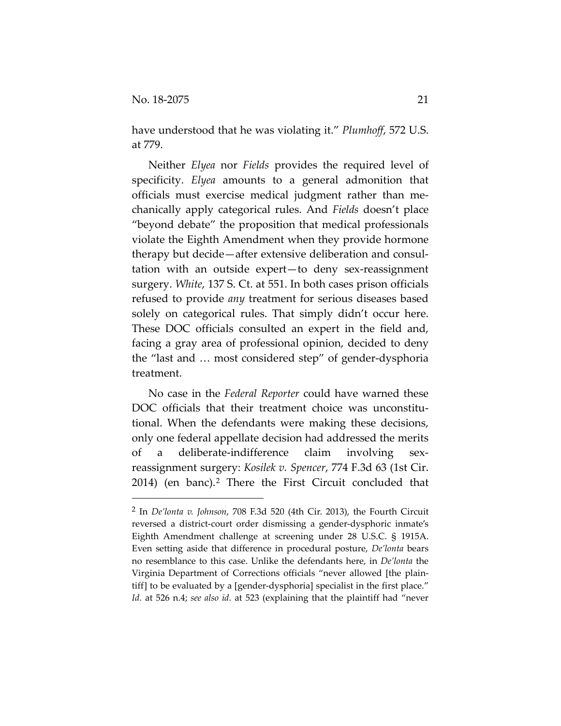have understood that he was violating it." *Plumhoff*, 572 U.S. at 779.

Neither *Elyea* nor *Fields* provides the required level of specificity. *Elyea* amounts to a general admonition that officials must exercise medical judgment rather than mechanically apply categorical rules. And *Fields* doesn't place "beyond debate" the proposition that medical professionals violate the Eighth Amendment when they provide hormone therapy but decide—after extensive deliberation and consultation with an outside expert—to deny sex-reassignment surgery. *White*, 137 S. Ct. at 551. In both cases prison officials refused to provide *any* treatment for serious diseases based solely on categorical rules. That simply didn't occur here. These DOC officials consulted an expert in the field and, facing a gray area of professional opinion, decided to deny the "last and … most considered step" of gender-dysphoria treatment.

No case in the *Federal Reporter* could have warned these DOC officials that their treatment choice was unconstitutional. When the defendants were making these decisions, only one federal appellate decision had addressed the merits of a deliberate-indifference claim involving sexreassignment surgery: *Kosilek v. Spencer*, 774 F.3d 63 (1st Cir. [2](#page-20-0)014) (en banc).<sup>2</sup> There the First Circuit concluded that

<span id="page-20-0"></span> <sup>2</sup> In *De'lonta v. Johnson*, 708 F.3d 520 (4th Cir. 2013), the Fourth Circuit reversed a district-court order dismissing a gender-dysphoric inmate's Eighth Amendment challenge at screening under 28 U.S.C. § 1915A. Even setting aside that difference in procedural posture, *De'lonta* bears no resemblance to this case. Unlike the defendants here, in *De'lonta* the Virginia Department of Corrections officials "never allowed [the plaintiff] to be evaluated by a [gender-dysphoria] specialist in the first place." *Id.* at 526 n.4; *see also id.* at 523 (explaining that the plaintiff had "never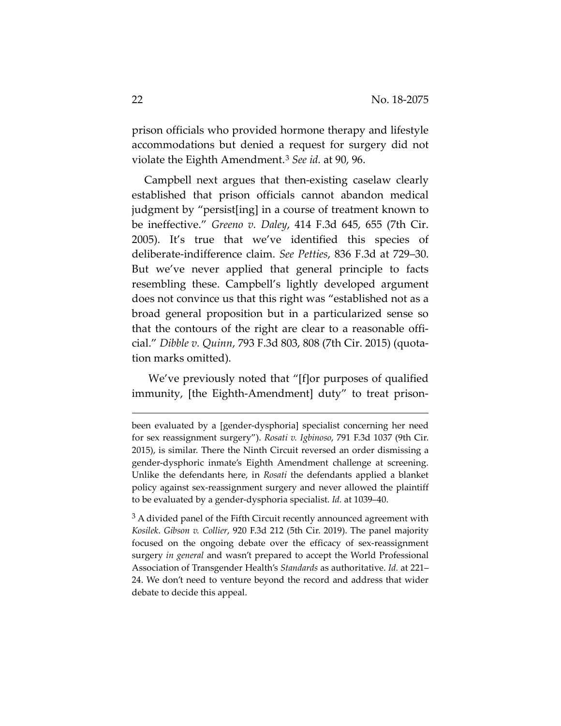prison officials who provided hormone therapy and lifestyle accommodations but denied a request for surgery did not violate the Eighth Amendment.[3](#page-21-0) *See id.* at 90, 96.

Campbell next argues that then-existing caselaw clearly established that prison officials cannot abandon medical judgment by "persist[ing] in a course of treatment known to be ineffective." *Greeno v. Daley*, 414 F.3d 645, 655 (7th Cir. 2005). It's true that we've identified this species of deliberate-indifference claim. *See Petties*, 836 F.3d at 729–30. But we've never applied that general principle to facts resembling these. Campbell's lightly developed argument does not convince us that this right was "established not as a broad general proposition but in a particularized sense so that the contours of the right are clear to a reasonable official." *Dibble v. Quinn*, 793 F.3d 803, 808 (7th Cir. 2015) (quotation marks omitted).

We've previously noted that "[f]or purposes of qualified immunity, [the Eighth-Amendment] duty" to treat prison-

 $\overline{a}$ 

been evaluated by a [gender-dysphoria] specialist concerning her need for sex reassignment surgery"). *Rosati v. Igbinoso*, 791 F.3d 1037 (9th Cir. 2015), is similar. There the Ninth Circuit reversed an order dismissing a gender-dysphoric inmate's Eighth Amendment challenge at screening. Unlike the defendants here, in *Rosati* the defendants applied a blanket policy against sex-reassignment surgery and never allowed the plaintiff to be evaluated by a gender-dysphoria specialist. *Id.* at 1039–40.

<span id="page-21-0"></span> $3A$  divided panel of the Fifth Circuit recently announced agreement with *Kosilek*. *Gibson v. Collier*, 920 F.3d 212 (5th Cir. 2019). The panel majority focused on the ongoing debate over the efficacy of sex-reassignment surgery *in general* and wasn't prepared to accept the World Professional Association of Transgender Health's *Standards* as authoritative. *Id.* at 221– 24. We don't need to venture beyond the record and address that wider debate to decide this appeal.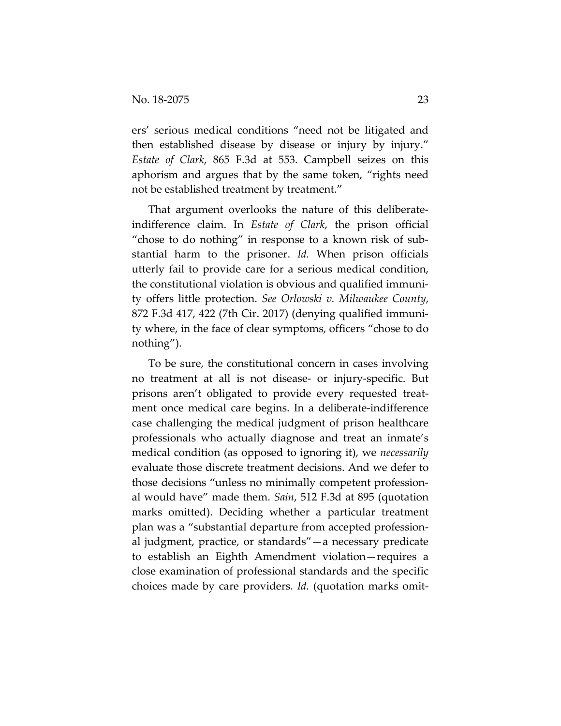ers' serious medical conditions "need not be litigated and then established disease by disease or injury by injury." *Estate of Clark*, 865 F.3d at 553. Campbell seizes on this aphorism and argues that by the same token, "rights need not be established treatment by treatment."

That argument overlooks the nature of this deliberateindifference claim. In *Estate of Clark*, the prison official "chose to do nothing" in response to a known risk of substantial harm to the prisoner. *Id.* When prison officials utterly fail to provide care for a serious medical condition, the constitutional violation is obvious and qualified immunity offers little protection. *See Orlowski v. Milwaukee County*, 872 F.3d 417, 422 (7th Cir. 2017) (denying qualified immunity where, in the face of clear symptoms, officers "chose to do nothing").

To be sure, the constitutional concern in cases involving no treatment at all is not disease- or injury-specific. But prisons aren't obligated to provide every requested treatment once medical care begins. In a deliberate-indifference case challenging the medical judgment of prison healthcare professionals who actually diagnose and treat an inmate's medical condition (as opposed to ignoring it), we *necessarily* evaluate those discrete treatment decisions. And we defer to those decisions "unless no minimally competent professional would have" made them. *Sain*, 512 F.3d at 895 (quotation marks omitted). Deciding whether a particular treatment plan was a "substantial departure from accepted professional judgment, practice, or standards"—a necessary predicate to establish an Eighth Amendment violation—requires a close examination of professional standards and the specific choices made by care providers. *Id.* (quotation marks omit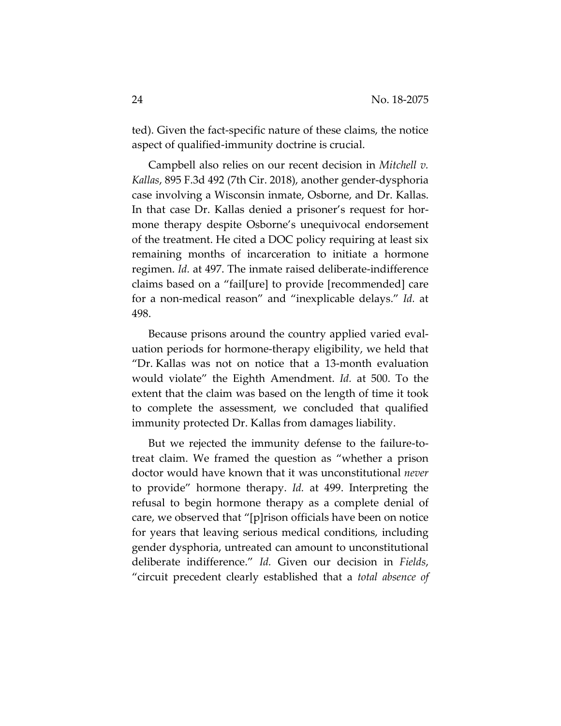ted). Given the fact-specific nature of these claims, the notice aspect of qualified-immunity doctrine is crucial.

Campbell also relies on our recent decision in *Mitchell v. Kallas*, 895 F.3d 492 (7th Cir. 2018), another gender-dysphoria case involving a Wisconsin inmate, Osborne, and Dr. Kallas. In that case Dr. Kallas denied a prisoner's request for hormone therapy despite Osborne's unequivocal endorsement of the treatment. He cited a DOC policy requiring at least six remaining months of incarceration to initiate a hormone regimen. *Id.* at 497. The inmate raised deliberate-indifference claims based on a "fail[ure] to provide [recommended] care for a non-medical reason" and "inexplicable delays." *Id.* at 498.

Because prisons around the country applied varied evaluation periods for hormone-therapy eligibility, we held that "Dr. Kallas was not on notice that a 13-month evaluation would violate" the Eighth Amendment. *Id.* at 500. To the extent that the claim was based on the length of time it took to complete the assessment, we concluded that qualified immunity protected Dr. Kallas from damages liability.

But we rejected the immunity defense to the failure-totreat claim. We framed the question as "whether a prison doctor would have known that it was unconstitutional *never* to provide" hormone therapy. *Id.* at 499. Interpreting the refusal to begin hormone therapy as a complete denial of care, we observed that "[p]rison officials have been on notice for years that leaving serious medical conditions, including gender dysphoria, untreated can amount to unconstitutional deliberate indifference." *Id.* Given our decision in *Fields*, "circuit precedent clearly established that a *total absence of*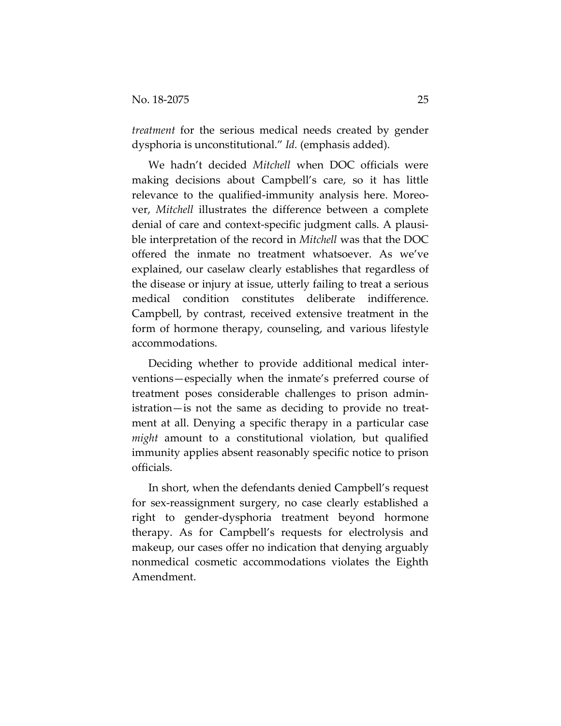*treatment* for the serious medical needs created by gender dysphoria is unconstitutional." *Id.* (emphasis added).

We hadn't decided *Mitchell* when DOC officials were making decisions about Campbell's care, so it has little relevance to the qualified-immunity analysis here. Moreover, *Mitchell* illustrates the difference between a complete denial of care and context-specific judgment calls. A plausible interpretation of the record in *Mitchell* was that the DOC offered the inmate no treatment whatsoever. As we've explained, our caselaw clearly establishes that regardless of the disease or injury at issue, utterly failing to treat a serious medical condition constitutes deliberate indifference. Campbell, by contrast, received extensive treatment in the form of hormone therapy, counseling, and various lifestyle accommodations.

Deciding whether to provide additional medical interventions—especially when the inmate's preferred course of treatment poses considerable challenges to prison administration—is not the same as deciding to provide no treatment at all. Denying a specific therapy in a particular case *might* amount to a constitutional violation, but qualified immunity applies absent reasonably specific notice to prison officials.

In short, when the defendants denied Campbell's request for sex-reassignment surgery, no case clearly established a right to gender-dysphoria treatment beyond hormone therapy. As for Campbell's requests for electrolysis and makeup, our cases offer no indication that denying arguably nonmedical cosmetic accommodations violates the Eighth Amendment.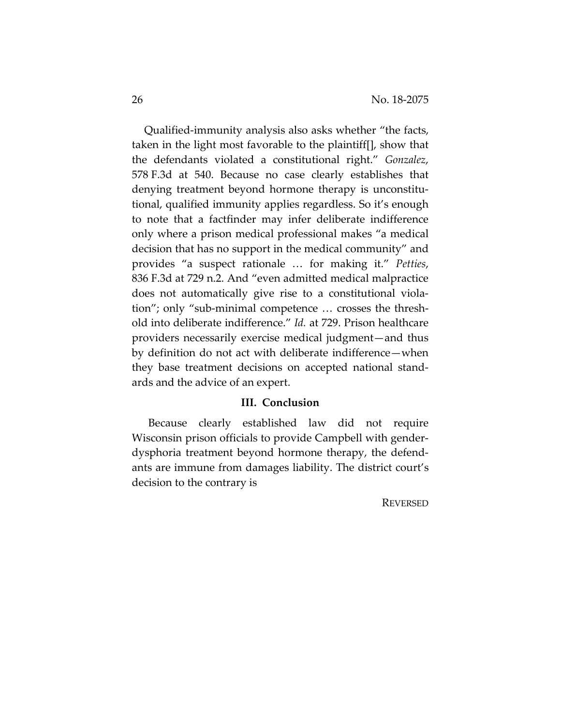Qualified-immunity analysis also asks whether "the facts, taken in the light most favorable to the plaintiff[], show that the defendants violated a constitutional right." *Gonzalez*, 578 F.3d at 540. Because no case clearly establishes that denying treatment beyond hormone therapy is unconstitutional, qualified immunity applies regardless. So it's enough to note that a factfinder may infer deliberate indifference only where a prison medical professional makes "a medical decision that has no support in the medical community" and provides "a suspect rationale … for making it." *Petties*, 836 F.3d at 729 n.2. And "even admitted medical malpractice does not automatically give rise to a constitutional violation"; only "sub-minimal competence … crosses the threshold into deliberate indifference." *Id.* at 729. Prison healthcare providers necessarily exercise medical judgment—and thus by definition do not act with deliberate indifference—when they base treatment decisions on accepted national standards and the advice of an expert.

# **III. Conclusion**

Because clearly established law did not require Wisconsin prison officials to provide Campbell with genderdysphoria treatment beyond hormone therapy, the defendants are immune from damages liability. The district court's decision to the contrary is

**REVERSED**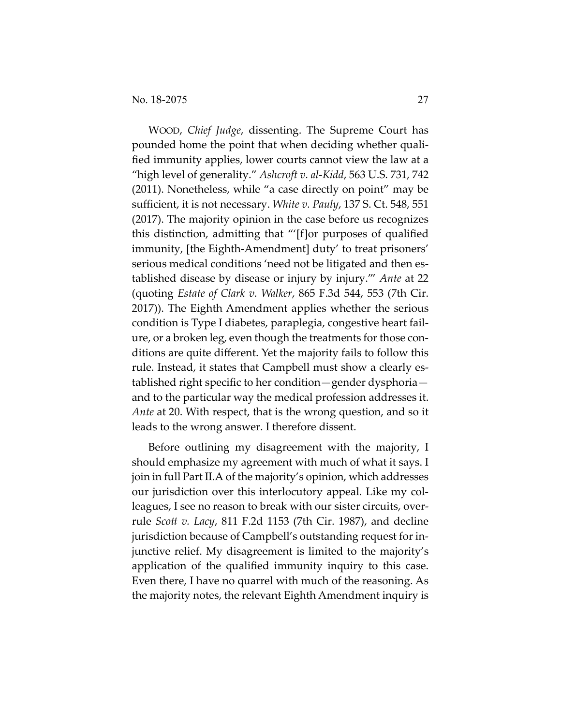WOOD, *Chief Judge*, dissenting. The Supreme Court has pounded home the point that when deciding whether quali‐ fied immunity applies, lower courts cannot view the law at a "high level of generality." *Ashcroft v. al‐Kidd*, 563 U.S. 731, 742 (2011). Nonetheless, while "a case directly on point" may be sufficient, it is not necessary. *White v. Pauly*, 137 S. Ct. 548, 551 (2017). The majority opinion in the case before us recognizes this distinction, admitting that "'[f]or purposes of qualified immunity, [the Eighth‐Amendment] duty' to treat prisoners' serious medical conditions 'need not be litigated and then established disease by disease or injury by injury.'" *Ante* at 22 (quoting *Estate of Clark v. Walker*, 865 F.3d 544, 553 (7th Cir. 2017)). The Eighth Amendment applies whether the serious condition is Type I diabetes, paraplegia, congestive heart fail‐ ure, or a broken leg, even though the treatments for those con‐ ditions are quite different. Yet the majority fails to follow this rule. Instead, it states that Campbell must show a clearly established right specific to her condition—gender dysphoria and to the particular way the medical profession addresses it. *Ante* at 20. With respect, that is the wrong question, and so it leads to the wrong answer. I therefore dissent.

Before outlining my disagreement with the majority, I should emphasize my agreement with much of what it says. I join in full Part II.A of the majority's opinion, which addresses our jurisdiction over this interlocutory appeal. Like my col‐ leagues, I see no reason to break with our sister circuits, over‐ rule *Scott v. Lacy*, 811 F.2d 1153 (7th Cir. 1987), and decline jurisdiction because of Campbell's outstanding request for in‐ junctive relief. My disagreement is limited to the majority's application of the qualified immunity inquiry to this case. Even there, I have no quarrel with much of the reasoning. As the majority notes, the relevant Eighth Amendment inquiry is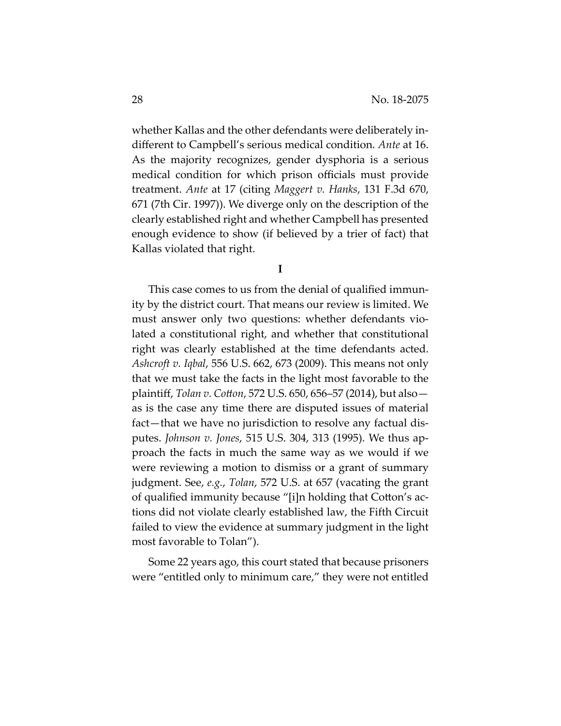whether Kallas and the other defendants were deliberately in‐ different to Campbell's serious medical condition. *Ante* at 16. As the majority recognizes, gender dysphoria is a serious medical condition for which prison officials must provide treatment. *Ante* at 17 (citing *Maggert v. Hanks*, 131 F.3d 670, 671 (7th Cir. 1997)). We diverge only on the description of the clearly established right and whether Campbell has presented enough evidence to show (if believed by a trier of fact) that Kallas violated that right.

**I**

This case comes to us from the denial of qualified immun‐ ity by the district court. That means our review is limited. We must answer only two questions: whether defendants vio‐ lated a constitutional right, and whether that constitutional right was clearly established at the time defendants acted. *Ashcroft v. Iqbal*, 556 U.S. 662, 673 (2009). This means not only that we must take the facts in the light most favorable to the plaintiff, *Tolan v. Cotton*, 572 U.S. 650, 656–57 (2014), but also as is the case any time there are disputed issues of material fact—that we have no jurisdiction to resolve any factual dis‐ putes. *Johnson v. Jones*, 515 U.S. 304, 313 (1995). We thus ap‐ proach the facts in much the same way as we would if we were reviewing a motion to dismiss or a grant of summary judgment. See, *e.g.*, *Tolan*, 572 U.S. at 657 (vacating the grant of qualified immunity because "[i]n holding that Cotton's ac‐ tions did not violate clearly established law, the Fifth Circuit failed to view the evidence at summary judgment in the light most favorable to Tolan").

Some 22 years ago, this court stated that because prisoners were "entitled only to minimum care," they were not entitled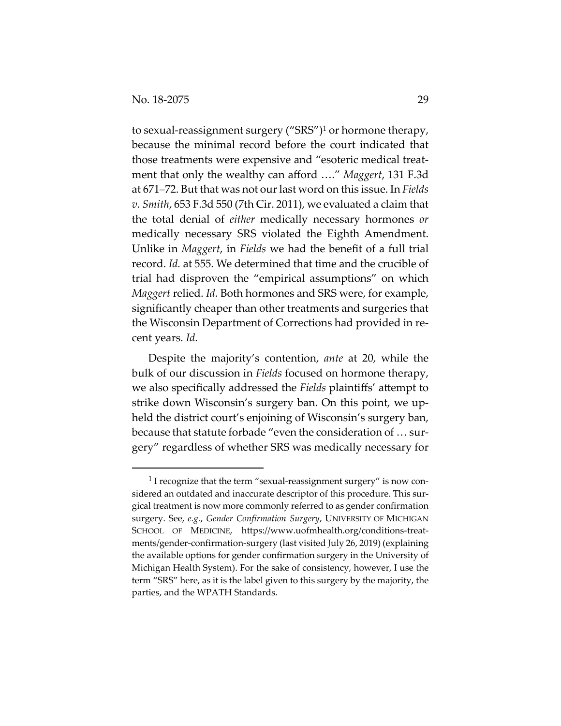to sexual-reassignment surgery ("SRS")<sup>1</sup> or hormone therapy, because the minimal record before the court indicated that those treatments were expensive and "esoteric medical treat‐ ment that only the wealthy can afford …." *Maggert*, 131 F.3d at 671–72. But that was not ourlast word on this issue. In *Fields v. Smith*, 653 F.3d 550 (7th Cir. 2011), we evaluated a claim that the total denial of *either* medically necessary hormones *or* medically necessary SRS violated the Eighth Amendment. Unlike in *Maggert*, in *Fields* we had the benefit of a full trial record. *Id.* at 555. We determined that time and the crucible of trial had disproven the "empirical assumptions" on which *Maggert* relied. *Id.* Both hormones and SRS were, for example, significantly cheaper than other treatments and surgeries that the Wisconsin Department of Corrections had provided in re‐ cent years. *Id.*

Despite the majority's contention, *ante* at 20, while the bulk of our discussion in *Fields* focused on hormone therapy, we also specifically addressed the *Fields* plaintiffs' attempt to strike down Wisconsin's surgery ban. On this point, we up‐ held the district court's enjoining of Wisconsin's surgery ban, because that statute forbade "even the consideration of … sur‐ gery" regardless of whether SRS was medically necessary for

<sup>&</sup>lt;sup>1</sup> I recognize that the term "sexual-reassignment surgery" is now considered an outdated and inaccurate descriptor of this procedure. This surgical treatment is now more commonly referred to as gender confirmation surgery. See, *e.g.*, *Gender Confirmation Surgery*, UNIVERSITY OF MICHIGAN SCHOOL OF MEDICINE, https://www.uofmhealth.org/conditions-treatments/gender‐confirmation‐surgery (last visited July 26, 2019) (explaining the available options for gender confirmation surgery in the University of Michigan Health System). For the sake of consistency, however, I use the term "SRS" here, as it is the label given to this surgery by the majority, the parties, and the WPATH Standards.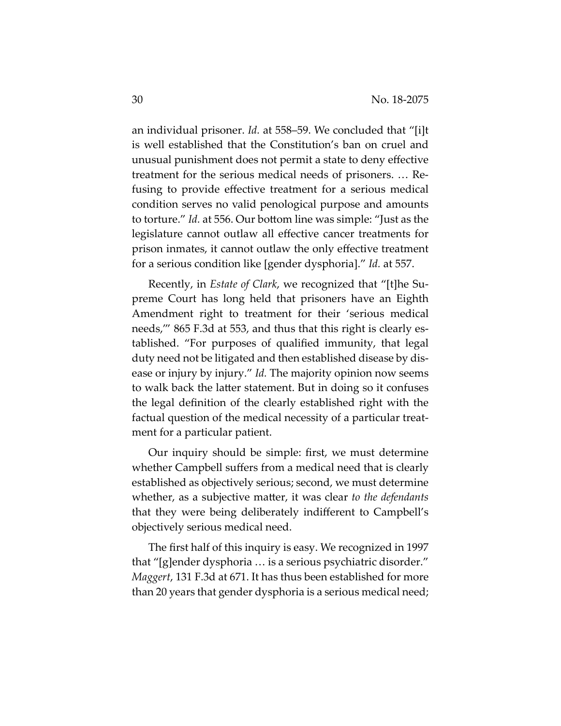an individual prisoner. *Id.* at 558–59. We concluded that "[i]t is well established that the Constitution's ban on cruel and unusual punishment does not permit a state to deny effective treatment for the serious medical needs of prisoners. … Re‐ fusing to provide effective treatment for a serious medical condition serves no valid penological purpose and amounts to torture." *Id.* at 556. Our bottom line was simple: "Just as the legislature cannot outlaw all effective cancer treatments for prison inmates, it cannot outlaw the only effective treatment for a serious condition like [gender dysphoria]." *Id.* at 557.

Recently, in *Estate of Clark*, we recognized that "[t]he Su‐ preme Court has long held that prisoners have an Eighth Amendment right to treatment for their 'serious medical needs," 865 F.3d at 553, and thus that this right is clearly established. "For purposes of qualified immunity, that legal duty need not be litigated and then established disease by dis‐ ease or injury by injury." *Id.* The majority opinion now seems to walk back the latter statement. But in doing so it confuses the legal definition of the clearly established right with the factual question of the medical necessity of a particular treat‐ ment for a particular patient.

Our inquiry should be simple: first, we must determine whether Campbell suffers from a medical need that is clearly established as objectively serious; second, we must determine whether, as a subjective matter, it was clear *to the defendants* that they were being deliberately indifferent to Campbell's objectively serious medical need.

The first half of this inquiry is easy. We recognized in 1997 that "[g]ender dysphoria … is a serious psychiatric disorder." *Maggert*, 131 F.3d at 671. It has thus been established for more than 20 years that gender dysphoria is a serious medical need;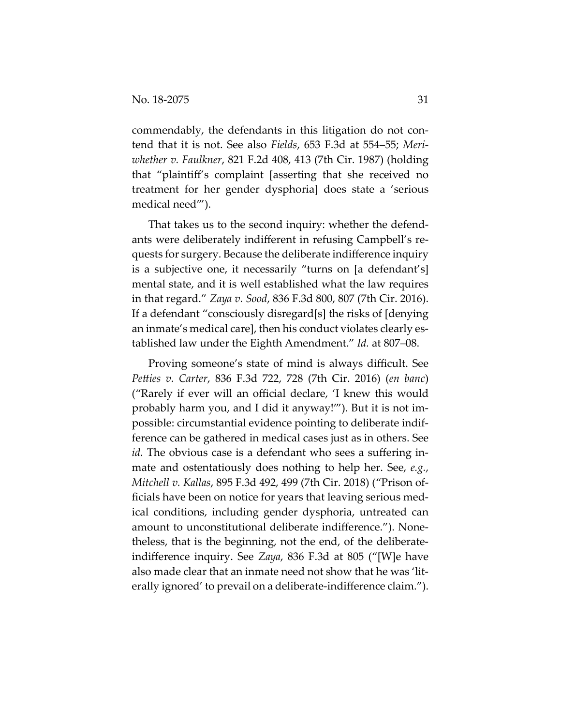commendably, the defendants in this litigation do not contend that it is not. See also *Fields*, 653 F.3d at 554–55; *Meri‐ whether v. Faulkner*, 821 F.2d 408, 413 (7th Cir. 1987) (holding that "plaintiff's complaint [asserting that she received no treatment for her gender dysphoria] does state a 'serious medical need'").

That takes us to the second inquiry: whether the defend‐ ants were deliberately indifferent in refusing Campbell's re‐ quests for surgery. Because the deliberate indifference inquiry is a subjective one, it necessarily "turns on [a defendant's] mental state, and it is well established what the law requires in that regard." *Zaya v. Sood*, 836 F.3d 800, 807 (7th Cir. 2016). If a defendant "consciously disregard[s] the risks of [denying an inmate's medical care], then his conduct violates clearly es‐ tablished law under the Eighth Amendment." *Id.* at 807–08.

Proving someone's state of mind is always difficult. See *Petties v. Carter*, 836 F.3d 722, 728 (7th Cir. 2016) (*en banc*) ("Rarely if ever will an official declare, 'I knew this would probably harm you, and I did it anyway!'"). But it is not im‐ possible: circumstantial evidence pointing to deliberate indif‐ ference can be gathered in medical cases just as in others. See *id.* The obvious case is a defendant who sees a suffering inmate and ostentatiously does nothing to help her. See, *e.g.*, *Mitchell v. Kallas*, 895 F.3d 492, 499 (7th Cir. 2018) ("Prison of‐ ficials have been on notice for years that leaving serious med‐ ical conditions, including gender dysphoria, untreated can amount to unconstitutional deliberate indifference."). None‐ theless, that is the beginning, not the end, of the deliberate‐ indifference inquiry. See *Zaya*, 836 F.3d at 805 ("[W]e have also made clear that an inmate need not show that he was 'lit‐ erally ignored' to prevail on a deliberate‐indifference claim.").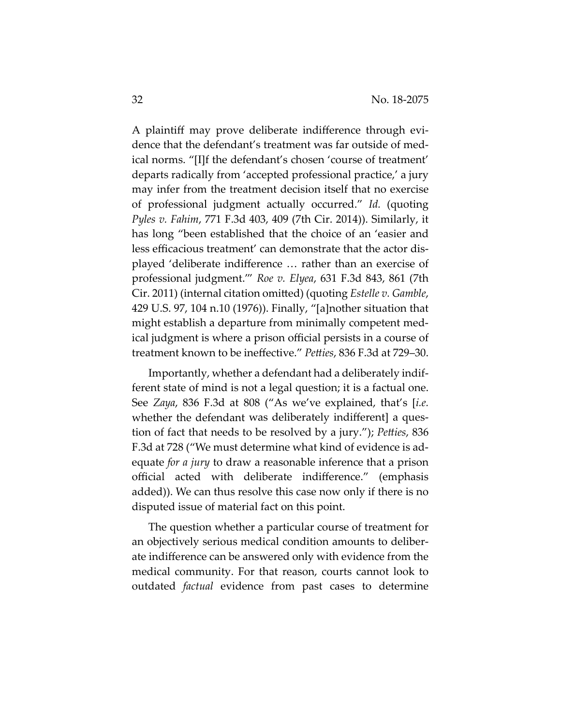A plaintiff may prove deliberate indifference through evi‐ dence that the defendant's treatment was far outside of med‐ ical norms. "[I]f the defendant's chosen 'course of treatment' departs radically from 'accepted professional practice,' a jury may infer from the treatment decision itself that no exercise of professional judgment actually occurred." *Id.* (quoting *Pyles v. Fahim*, 771 F.3d 403, 409 (7th Cir. 2014)). Similarly, it has long "been established that the choice of an 'easier and less efficacious treatment' can demonstrate that the actor dis‐ played 'deliberate indifference … rather than an exercise of professional judgment.'" *Roe v. Elyea*, 631 F.3d 843, 861 (7th Cir. 2011) (internal citation omitted) (quoting *Estelle v. Gamble*, 429 U.S. 97, 104 n.10 (1976)). Finally, "[a]nother situation that might establish a departure from minimally competent med‐ ical judgment is where a prison official persists in a course of treatment known to be ineffective." *Petties*, 836 F.3d at 729–30.

Importantly, whether a defendant had a deliberately indif‐ ferent state of mind is not a legal question; it is a factual one. See *Zaya*, 836 F.3d at 808 ("As we've explained, that's [*i.e.* whether the defendant was deliberately indifferent] a question of fact that needs to be resolved by a jury."); *Petties*, 836 F.3d at 728 ("We must determine what kind of evidence is ad‐ equate *for a jury* to draw a reasonable inference that a prison official acted with deliberate indifference." (emphasis added)). We can thus resolve this case now only if there is no disputed issue of material fact on this point.

The question whether a particular course of treatment for an objectively serious medical condition amounts to deliber‐ ate indifference can be answered only with evidence from the medical community. For that reason, courts cannot look to outdated *factual* evidence from past cases to determine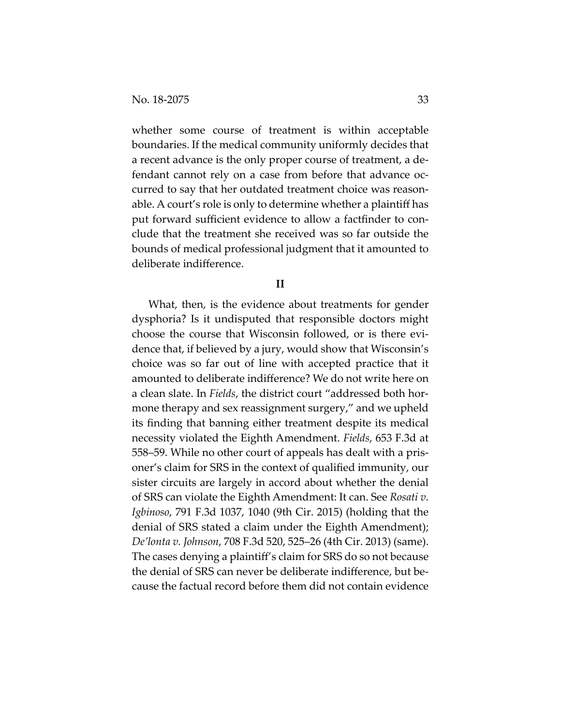whether some course of treatment is within acceptable boundaries. If the medical community uniformly decides that a recent advance is the only proper course of treatment, a de‐ fendant cannot rely on a case from before that advance oc‐ curred to say that her outdated treatment choice was reason‐ able. A court's role is only to determine whether a plaintiff has put forward sufficient evidence to allow a factfinder to con‐ clude that the treatment she received was so far outside the bounds of medical professional judgment that it amounted to deliberate indifference.

#### **II**

What, then, is the evidence about treatments for gender dysphoria? Is it undisputed that responsible doctors might choose the course that Wisconsin followed, or is there evi‐ dence that, if believed by a jury, would show that Wisconsin's choice was so far out of line with accepted practice that it amounted to deliberate indifference? We do not write here on a clean slate. In *Fields*, the district court "addressed both hor‐ mone therapy and sex reassignment surgery," and we upheld its finding that banning either treatment despite its medical necessity violated the Eighth Amendment. *Fields*, 653 F.3d at 558–59. While no other court of appeals has dealt with a pris‐ oner's claim for SRS in the context of qualified immunity, our sister circuits are largely in accord about whether the denial of SRS can violate the Eighth Amendment: It can. See *Rosati v. Igbinoso*, 791 F.3d 1037, 1040 (9th Cir. 2015) (holding that the denial of SRS stated a claim under the Eighth Amendment); *De'lonta v. Johnson*, 708 F.3d 520, 525–26 (4th Cir. 2013) (same). The cases denying a plaintiff's claim for SRS do so not because the denial of SRS can never be deliberate indifference, but be‐ cause the factual record before them did not contain evidence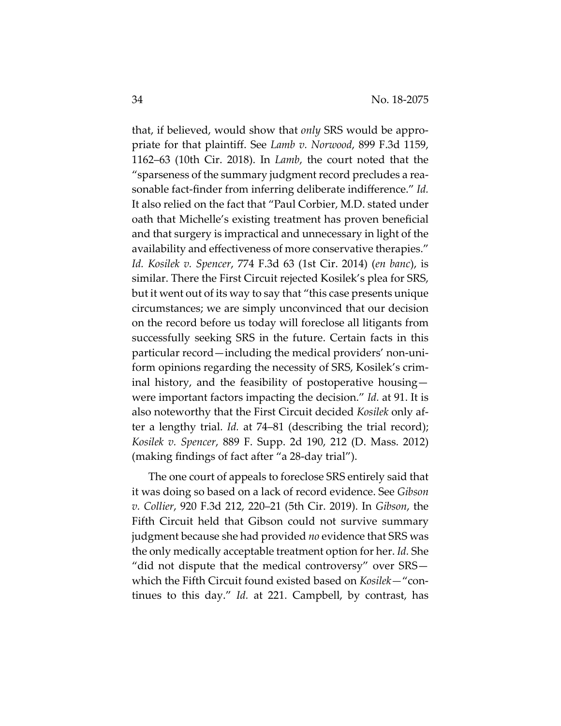that, if believed, would show that *only* SRS would be appro‐ priate for that plaintiff. See *Lamb v. Norwood*, 899 F.3d 1159, 1162–63 (10th Cir. 2018). In *Lamb*, the court noted that the "sparseness of the summary judgment record precludes a rea‐ sonable fact‐finder from inferring deliberate indifference." *Id.* It also relied on the fact that "Paul Corbier, M.D. stated under oath that Michelle's existing treatment has proven beneficial and that surgery is impractical and unnecessary in light of the availability and effectiveness of more conservative therapies." *Id. Kosilek v. Spencer*, 774 F.3d 63 (1st Cir. 2014) (*en banc*), is similar. There the First Circuit rejected Kosilek's plea for SRS, but it went out of its way to say that "this case presents unique circumstances; we are simply unconvinced that our decision on the record before us today will foreclose all litigants from successfully seeking SRS in the future. Certain facts in this particular record—including the medical providers' non‐uni‐ form opinions regarding the necessity of SRS, Kosilek's crim‐ inal history, and the feasibility of postoperative housing were important factors impacting the decision." *Id.* at 91. It is also noteworthy that the First Circuit decided *Kosilek* only af‐ ter a lengthy trial. *Id.* at 74–81 (describing the trial record); *Kosilek v. Spencer*, 889 F. Supp. 2d 190, 212 (D. Mass. 2012) (making findings of fact after "a 28‐day trial").

The one court of appeals to foreclose SRS entirely said that it was doing so based on a lack of record evidence. See *Gibson v. Collier*, 920 F.3d 212, 220–21 (5th Cir. 2019). In *Gibson*, the Fifth Circuit held that Gibson could not survive summary judgment because she had provided *no* evidence that SRS was the only medically acceptable treatment option for her. *Id.* She "did not dispute that the medical controversy" over SRS which the Fifth Circuit found existed based on *Kosilek—*"con‐ tinues to this day." *Id.* at 221. Campbell, by contrast, has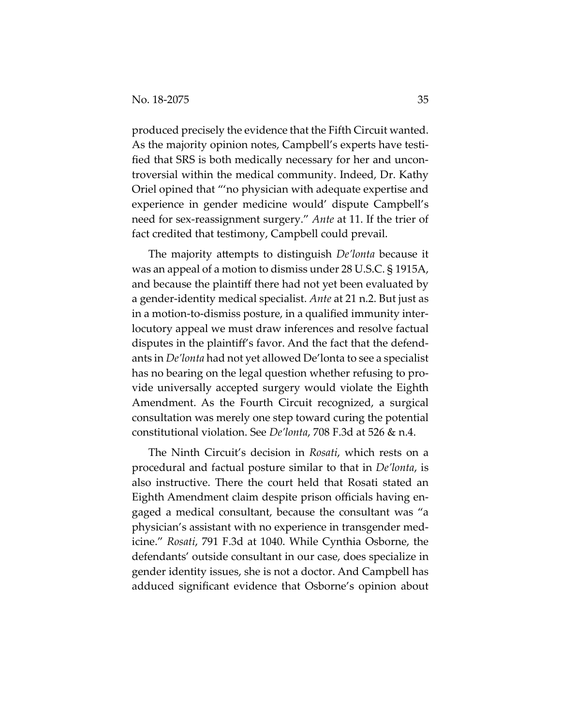produced precisely the evidence that the Fifth Circuit wanted. As the majority opinion notes, Campbell's experts have testi‐ fied that SRS is both medically necessary for her and uncon‐ troversial within the medical community. Indeed, Dr. Kathy Oriel opined that "'no physician with adequate expertise and experience in gender medicine would' dispute Campbell's need for sex‐reassignment surgery." *Ante* at 11. If the trier of fact credited that testimony, Campbell could prevail.

The majority attempts to distinguish *De'lonta* because it was an appeal of a motion to dismiss under 28 U.S.C. § 1915A, and because the plaintiff there had not yet been evaluated by a gender‐identity medical specialist. *Ante* at 21 n.2. But just as in a motion‐to‐dismiss posture, in a qualified immunity inter‐ locutory appeal we must draw inferences and resolve factual disputes in the plaintiff's favor. And the fact that the defend‐ ants in *De'lonta* had not yet allowed De'lonta to see a specialist has no bearing on the legal question whether refusing to provide universally accepted surgery would violate the Eighth Amendment. As the Fourth Circuit recognized, a surgical consultation was merely one step toward curing the potential constitutional violation. See *De'lonta*, 708 F.3d at 526 & n.4.

The Ninth Circuit's decision in *Rosati*, which rests on a procedural and factual posture similar to that in *De'lonta*, is also instructive. There the court held that Rosati stated an Eighth Amendment claim despite prison officials having en‐ gaged a medical consultant, because the consultant was "a physician's assistant with no experience in transgender med‐ icine." *Rosati*, 791 F.3d at 1040. While Cynthia Osborne, the defendants' outside consultant in our case, does specialize in gender identity issues, she is not a doctor. And Campbell has adduced significant evidence that Osborne's opinion about